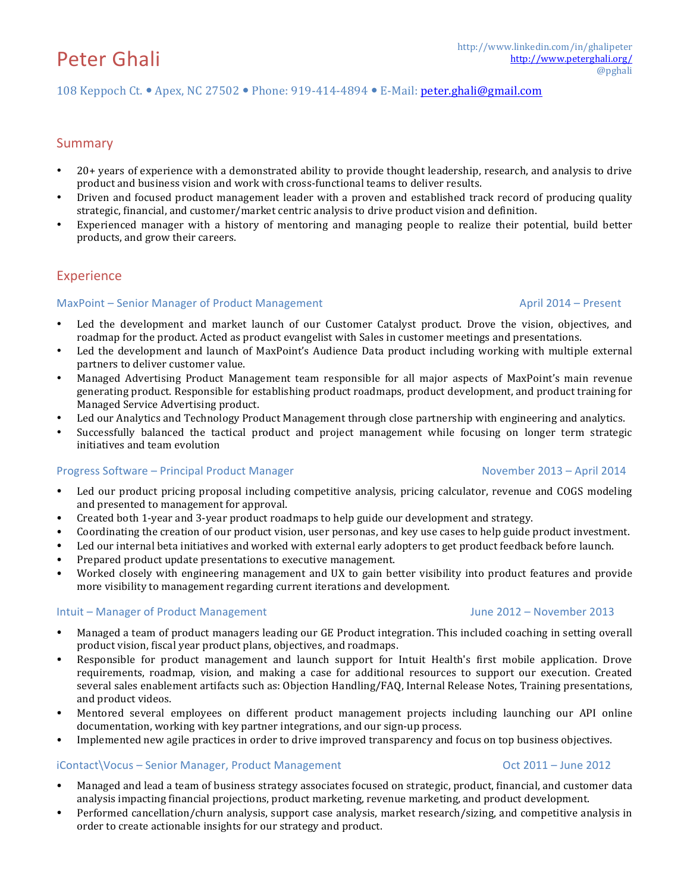## 108 Keppoch Ct.  $\bullet$  Apex, NC 27502  $\bullet$  Phone: 919-414-4894  $\bullet$  E-Mail: peter.ghali@gmail.com

# Summary

- 20+ years of experience with a demonstrated ability to provide thought leadership, research, and analysis to drive product and business vision and work with cross-functional teams to deliver results.
- Driven and focused product management leader with a proven and established track record of producing quality strategic, financial, and customer/market centric analysis to drive product vision and definition.
- Experienced manager with a history of mentoring and managing people to realize their potential, build better products, and grow their careers.

# Experience

### MaxPoint – Senior Manager of Product Management April 2014 – Present

- Led the development and market launch of our Customer Catalyst product. Drove the vision, objectives, and roadmap for the product. Acted as product evangelist with Sales in customer meetings and presentations.
- Led the development and launch of MaxPoint's Audience Data product including working with multiple external partners to deliver customer value.
- Managed Advertising Product Management team responsible for all major aspects of MaxPoint's main revenue generating product. Responsible for establishing product roadmaps, product development, and product training for Managed Service Advertising product.
- Led our Analytics and Technology Product Management through close partnership with engineering and analytics.
- Successfully balanced the tactical product and project management while focusing on longer term strategic initiatives and team evolution

### Progress Software – Principal Product Manager **November 2013** – April 2014

- Led our product pricing proposal including competitive analysis, pricing calculator, revenue and COGS modeling and presented to management for approval.
- Created both 1-year and 3-year product roadmaps to help guide our development and strategy.
- Coordinating the creation of our product vision, user personas, and key use cases to help guide product investment.
- Led our internal beta initiatives and worked with external early adopters to get product feedback before launch.
- Prepared product update presentations to executive management.
- Worked closely with engineering management and UX to gain better visibility into product features and provide more visibility to management regarding current iterations and development.

### Intuit – Manager of Product Management **Analyzis Community Community** Summer 2012 – November 2013

- Managed a team of product managers leading our GE Product integration. This included coaching in setting overall product vision, fiscal year product plans, objectives, and roadmaps.
- Responsible for product management and launch support for Intuit Health's first mobile application. Drove requirements, roadmap, vision, and making a case for additional resources to support our execution. Created several sales enablement artifacts such as: Objection Handling/FAQ, Internal Release Notes, Training presentations, and product videos.
- Mentored several employees on different product management projects including launching our API online documentation, working with key partner integrations, and our sign-up process.
- Implemented new agile practices in order to drive improved transparency and focus on top business objectives.

### iContact\Vocus – Senior Manager, Product Management Oct 2011 – June 2012

- Managed and lead a team of business strategy associates focused on strategic, product, financial, and customer data analysis impacting financial projections, product marketing, revenue marketing, and product development.
- Performed cancellation/churn analysis, support case analysis, market research/sizing, and competitive analysis in order to create actionable insights for our strategy and product.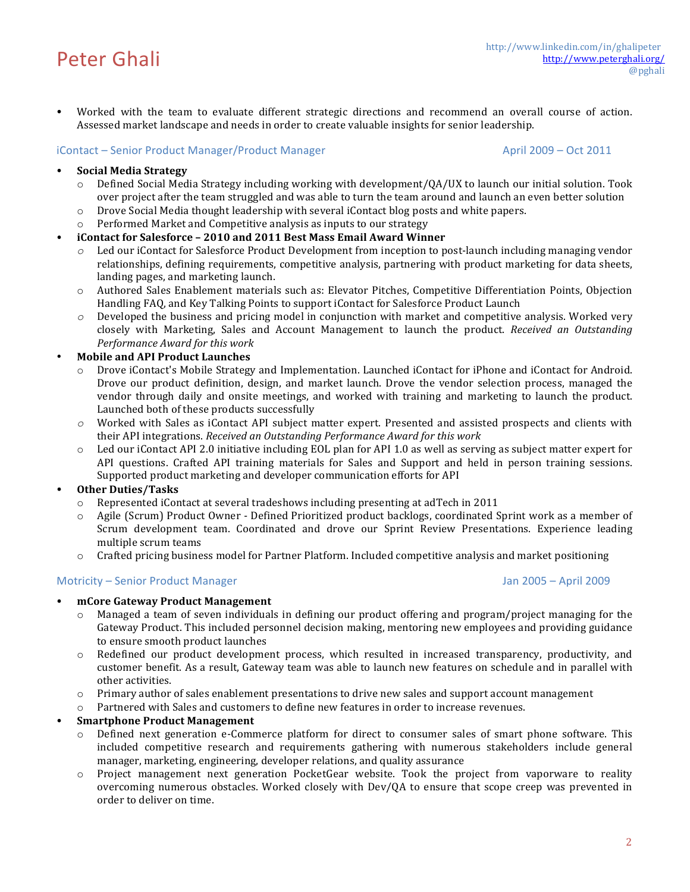• Worked with the team to evaluate different strategic directions and recommend an overall course of action. Assessed market landscape and needs in order to create valuable insights for senior leadership.

### iContact – Senior Product Manager/Product Manager April 2009 – Oct 2011

### • **Social Media Strategy**

- $\circ$  Defined Social Media Strategy including working with development/QA/UX to launch our initial solution. Took over project after the team struggled and was able to turn the team around and launch an even better solution
- $\circ$  Drove Social Media thought leadership with several iContact blog posts and white papers.
- o Performed Market and Competitive analysis as inputs to our strategy

## • **iContact for Salesforce – 2010 and 2011 Best Mass Email Award Winner**

- $\circ$  Led our iContact for Salesforce Product Development from inception to post-launch including managing vendor relationships, defining requirements, competitive analysis, partnering with product marketing for data sheets, landing pages, and marketing launch.
- o Authored Sales Enablement materials such as: Elevator Pitches, Competitive Differentiation Points, Objection Handling FAQ, and Key Talking Points to support iContact for Salesforce Product Launch
- $\circ$  Developed the business and pricing model in conjunction with market and competitive analysis. Worked very closely with Marketing, Sales and Account Management to launch the product. *Received an Outstanding Performance Award for this work*

### • **Mobile and API Product Launches**

- $\circ$  Drove iContact's Mobile Strategy and Implementation. Launched iContact for iPhone and iContact for Android. Drove our product definition, design, and market launch. Drove the vendor selection process, managed the vendor through daily and onsite meetings, and worked with training and marketing to launch the product. Launched both of these products successfully
- $\circ$  Worked with Sales as iContact API subject matter expert. Presented and assisted prospects and clients with their API integrations. *Received an Outstanding Performance Award for this work*
- $\circ$  Led our iContact API 2.0 initiative including EOL plan for API 1.0 as well as serving as subject matter expert for API questions. Crafted API training materials for Sales and Support and held in person training sessions. Supported product marketing and developer communication efforts for API

## • **Other Duties/Tasks**

- $\circ$  Represented iContact at several tradeshows including presenting at adTech in 2011
- $\circ$  Agile (Scrum) Product Owner Defined Prioritized product backlogs, coordinated Sprint work as a member of Scrum development team. Coordinated and drove our Sprint Review Presentations. Experience leading multiple scrum teams
- $\circ$  Crafted pricing business model for Partner Platform. Included competitive analysis and market positioning

### Motricity – Senior Product Manager Jan 2005 – April 2009

### • **mCore Gateway Product Management**

- $\circ$  Managed a team of seven individuals in defining our product offering and program/project managing for the Gateway Product. This included personnel decision making, mentoring new employees and providing guidance to ensure smooth product launches
- $\circ$  Redefined our product development process, which resulted in increased transparency, productivity, and customer benefit. As a result, Gateway team was able to launch new features on schedule and in parallel with other activities.
- o Primary author of sales enablement presentations to drive new sales and support account management
- Partnered with Sales and customers to define new features in order to increase revenues.

### **Smartphone Product Management**

- Defined next generation e-Commerce platform for direct to consumer sales of smart phone software. This included competitive research and requirements gathering with numerous stakeholders include general manager, marketing, engineering, developer relations, and quality assurance
- o Project management next generation PocketGear website. Took the project from vaporware to reality overcoming numerous obstacles. Worked closely with  $Dev/QA$  to ensure that scope creep was prevented in order to deliver on time.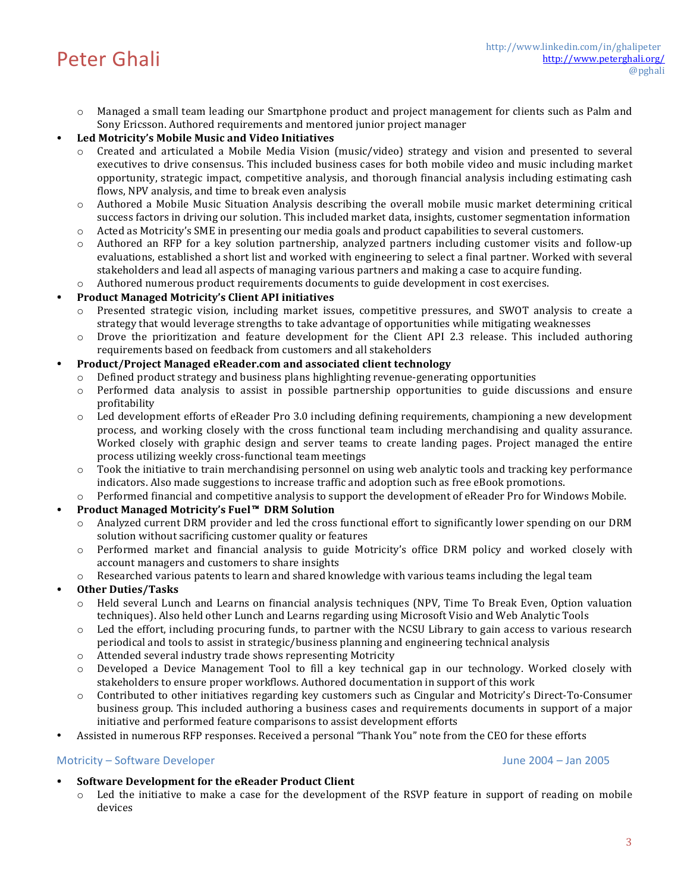$\circ$  Managed a small team leading our Smartphone product and project management for clients such as Palm and Sony Ericsson. Authored requirements and mentored junior project manager

## • **Led Motricity's Mobile Music and Video Initiatives**

- Created and articulated a Mobile Media Vision (music/video) strategy and vision and presented to several executives to drive consensus. This included business cases for both mobile video and music including market opportunity, strategic impact, competitive analysis, and thorough financial analysis including estimating cash flows, NPV analysis, and time to break even analysis
- $\circ$  Authored a Mobile Music Situation Analysis describing the overall mobile music market determining critical success factors in driving our solution. This included market data, insights, customer segmentation information
- $\circ$  Acted as Motricity's SME in presenting our media goals and product capabilities to several customers.
- $\circ$  Authored an RFP for a key solution partnership, analyzed partners including customer visits and follow-up evaluations, established a short list and worked with engineering to select a final partner. Worked with several stakeholders and lead all aspects of managing various partners and making a case to acquire funding.
- $\circ$  Authored numerous product requirements documents to guide development in cost exercises.

### • **Product Managed Motricity's Client API initiatives**

- Presented strategic vision, including market issues, competitive pressures, and SWOT analysis to create a strategy that would leverage strengths to take advantage of opportunities while mitigating weaknesses
- $\circ$  Drove the prioritization and feature development for the Client API 2.3 release. This included authoring requirements based on feedback from customers and all stakeholders

### • **Product/Project Managed eReader.com and associated client technology**

- Defined product strategy and business plans highlighting revenue-generating opportunities
- $\circ$  Performed data analysis to assist in possible partnership opportunities to guide discussions and ensure profitability
- $\circ$  Led development efforts of eReader Pro 3.0 including defining requirements, championing a new development process, and working closely with the cross functional team including merchandising and quality assurance. Worked closely with graphic design and server teams to create landing pages. Project managed the entire process utilizing weekly cross-functional team meetings
- $\circ$  Took the initiative to train merchandising personnel on using web analytic tools and tracking key performance indicators. Also made suggestions to increase traffic and adoption such as free eBook promotions.
- Performed financial and competitive analysis to support the development of eReader Pro for Windows Mobile.

## **Product Managed Motricity's Fuel™ DRM Solution**

- Analyzed current DRM provider and led the cross functional effort to significantly lower spending on our DRM solution without sacrificing customer quality or features
- $\circ$  Performed market and financial analysis to guide Motricity's office DRM policy and worked closely with account managers and customers to share insights
- Researched various patents to learn and shared knowledge with various teams including the legal team

### • **Other Duties/Tasks**

- Held several Lunch and Learns on financial analysis techniques (NPV, Time To Break Even, Option valuation techniques). Also held other Lunch and Learns regarding using Microsoft Visio and Web Analytic Tools
- $\circ$  Led the effort, including procuring funds, to partner with the NCSU Library to gain access to various research periodical and tools to assist in strategic/business planning and engineering technical analysis
- o Attended several industry trade shows representing Motricity
- $\circ$  Developed a Device Management Tool to fill a key technical gap in our technology. Worked closely with stakeholders to ensure proper workflows. Authored documentation in support of this work
- $\circ$  Contributed to other initiatives regarding key customers such as Cingular and Motricity's Direct-To-Consumer business group. This included authoring a business cases and requirements documents in support of a major initiative and performed feature comparisons to assist development efforts
- Assisted in numerous RFP responses. Received a personal "Thank You" note from the CEO for these efforts

### Motricity – Software Developer Communication Communication Communication Communication Communication Communication Communication Communication Communication Communication Communication Communication Communication Communica

- Software Development for the eReader Product Client
	- $\circ$  Led the initiative to make a case for the development of the RSVP feature in support of reading on mobile devices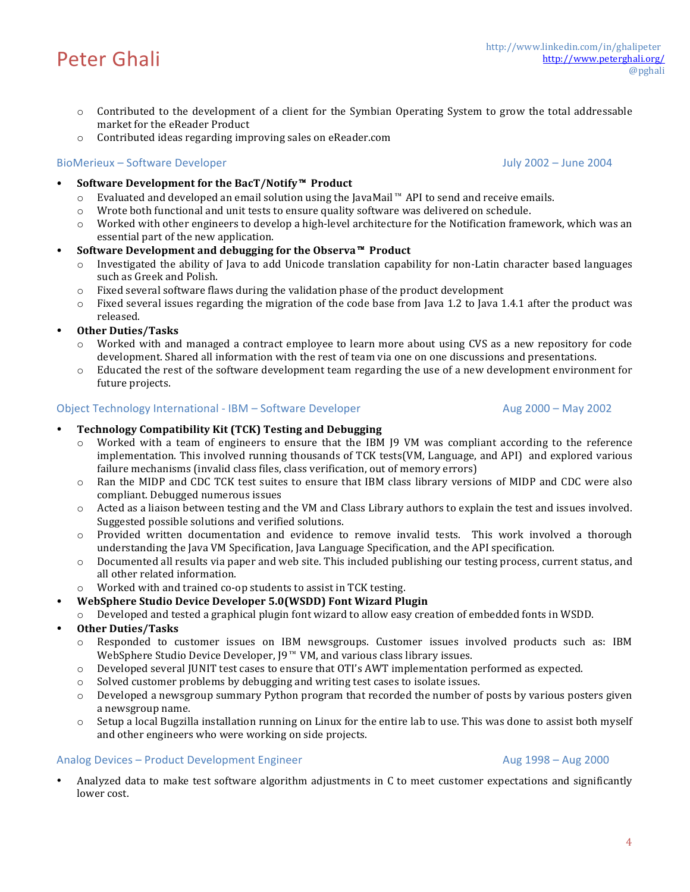#### http://www.linkedin.com/in/ghalipeter<br>http://www.linkedin.com/in/ghalipeter<br>mocked http://www.peterghali.org/ @pghali

- $\circ$  Contributed to the development of a client for the Symbian Operating System to grow the total addressable market for the eReader Product
- $\circ$  Contributed ideas regarding improving sales on eReader.com

# BioMerieux – Software Developer Communication of the United States of the United States of the United States of the United States of the United States of the United States of the United States of the United States of the U

- **Software Development for the BacT/Notify™ Product** 
	- o Evaluated and developed an email solution using the JavaMail™ API to send and receive emails.<br>
	⊙ Wrote both functional and unit tests to ensure quality software was delivered on schedule.
		- Wrote both functional and unit tests to ensure quality software was delivered on schedule.
	- o Worked with other engineers to develop a high-level architecture for the Notification framework, which was an essential part of the new application.

# **Software Development and debugging for the Observa™ Product**

- $\circ$  Investigated the ability of Java to add Unicode translation capability for non-Latin character based languages such as Greek and Polish.
- $\circ$  Fixed several software flaws during the validation phase of the product development
- $\circ$  Fixed several issues regarding the migration of the code base from Java 1.2 to Java 1.4.1 after the product was released.
- **Other Duties/Tasks**
	- Worked with and managed a contract employee to learn more about using CVS as a new repository for code development. Shared all information with the rest of team via one on one discussions and presentations.
	- $\circ$  Educated the rest of the software development team regarding the use of a new development environment for future projects.

# Object Technology International - IBM – Software Developer Aug 2000 – May 2002

# **Technology Compatibility Kit (TCK) Testing and Debugging**

- $\circ$  Worked with a team of engineers to ensure that the IBM [9 VM was compliant according to the reference implementation. This involved running thousands of TCK tests(VM, Language, and API) and explored various failure mechanisms (invalid class files, class verification, out of memory errors)
- $\circ$  Ran the MIDP and CDC TCK test suites to ensure that IBM class library versions of MIDP and CDC were also compliant. Debugged numerous issues
- $\circ$  Acted as a liaison between testing and the VM and Class Library authors to explain the test and issues involved. Suggested possible solutions and verified solutions.
- $\circ$  Provided written documentation and evidence to remove invalid tests. This work involved a thorough understanding the Java VM Specification, Java Language Specification, and the API specification.
- $\circ$  Documented all results via paper and web site. This included publishing our testing process, current status, and all other related information.
- Worked with and trained co-op students to assist in TCK testing.
- **WebSphere Studio Device Developer 5.0(WSDD) Font Wizard Plugin**
- $\circ$  Developed and tested a graphical plugin font wizard to allow easy creation of embedded fonts in WSDD.
- **Other Duties/Tasks**
	- Responded to customer issues on IBM newsgroups. Customer issues involved products such as: IBM WebSphere Studio Device Developer,  $J9^m$  VM, and various class library issues.
	- $\circ$  Developed several JUNIT test cases to ensure that OTI's AWT implementation performed as expected.
	- o Solved customer problems by debugging and writing test cases to isolate issues.
	- $\circ$  Developed a newsgroup summary Python program that recorded the number of posts by various posters given a newsgroup name.
	- $\circ$  Setup a local Bugzilla installation running on Linux for the entire lab to use. This was done to assist both myself and other engineers who were working on side projects.

# Analog Devices – Product Development Engineer Aug 2000 (Aug 1998 – Aug 2000)

Analyzed data to make test software algorithm adjustments in C to meet customer expectations and significantly lower cost.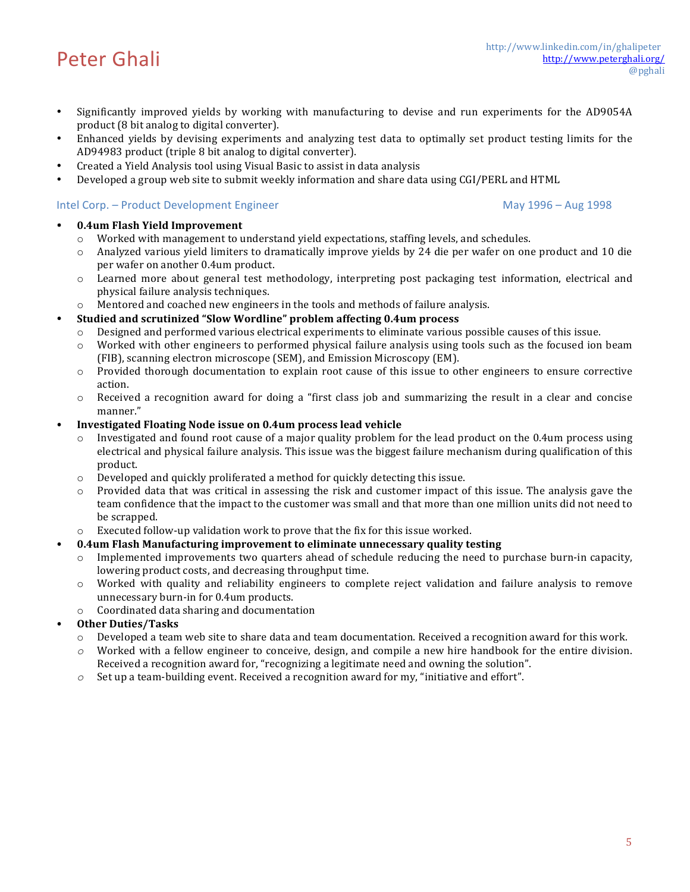- Significantly improved yields by working with manufacturing to devise and run experiments for the AD9054A product (8 bit analog to digital converter).
- Enhanced yields by devising experiments and analyzing test data to optimally set product testing limits for the AD94983 product (triple 8 bit analog to digital converter).
- Created a Yield Analysis tool using Visual Basic to assist in data analysis
- Developed a group web site to submit weekly information and share data using CGI/PERL and HTML

## Intel Corp. – Product Development Engineer May 1996 – May 1996 – Aug 1998

## • **0.4um Flash Yield Improvement**

- $\circ$  Worked with management to understand vield expectations, staffing levels, and schedules.
- $\circ$  Analyzed various vield limiters to dramatically improve vields by 24 die per wafer on one product and 10 die per wafer on another 0.4um product.
- o Learned more about general test methodology, interpreting post packaging test information, electrical and physical failure analysis techniques.
- $\circ$  Mentored and coached new engineers in the tools and methods of failure analysis.
- **Studied and scrutinized "Slow Wordline" problem affecting 0.4um process**
	- Designed and performed various electrical experiments to eliminate various possible causes of this issue.
	- $\circ$  Worked with other engineers to performed physical failure analysis using tools such as the focused ion beam (FIB), scanning electron microscope (SEM), and Emission Microscopy (EM).
	- $\circ$  Provided thorough documentation to explain root cause of this issue to other engineers to ensure corrective action.
	- $\circ$  Received a recognition award for doing a "first class job and summarizing the result in a clear and concise manner."
- **Investigated Floating Node issue on 0.4um process lead vehicle** 
	- Investigated and found root cause of a major quality problem for the lead product on the 0.4um process using electrical and physical failure analysis. This issue was the biggest failure mechanism during qualification of this product.
	- $\circ$  Developed and quickly proliferated a method for quickly detecting this issue.
	- $\circ$  Provided data that was critical in assessing the risk and customer impact of this issue. The analysis gave the team confidence that the impact to the customer was small and that more than one million units did not need to be scrapped.
	- $\circ$  Executed follow-up validation work to prove that the fix for this issue worked.
- **0.4um Flash Manufacturing improvement to eliminate unnecessary quality testing** 
	- Implemented improvements two quarters ahead of schedule reducing the need to purchase burn-in capacity, lowering product costs, and decreasing throughput time.
	- $\circ$  Worked with quality and reliability engineers to complete reject validation and failure analysis to remove unnecessary burn-in for 0.4um products.
	- $\circ$  Coordinated data sharing and documentation
- **Other Duties/Tasks**
	- $\circ$  Developed a team web site to share data and team documentation. Received a recognition award for this work.
	- $\circ$  Worked with a fellow engineer to conceive, design, and compile a new hire handbook for the entire division. Received a recognition award for, "recognizing a legitimate need and owning the solution".
	- $\circ$  Set up a team-building event. Received a recognition award for my, "initiative and effort".